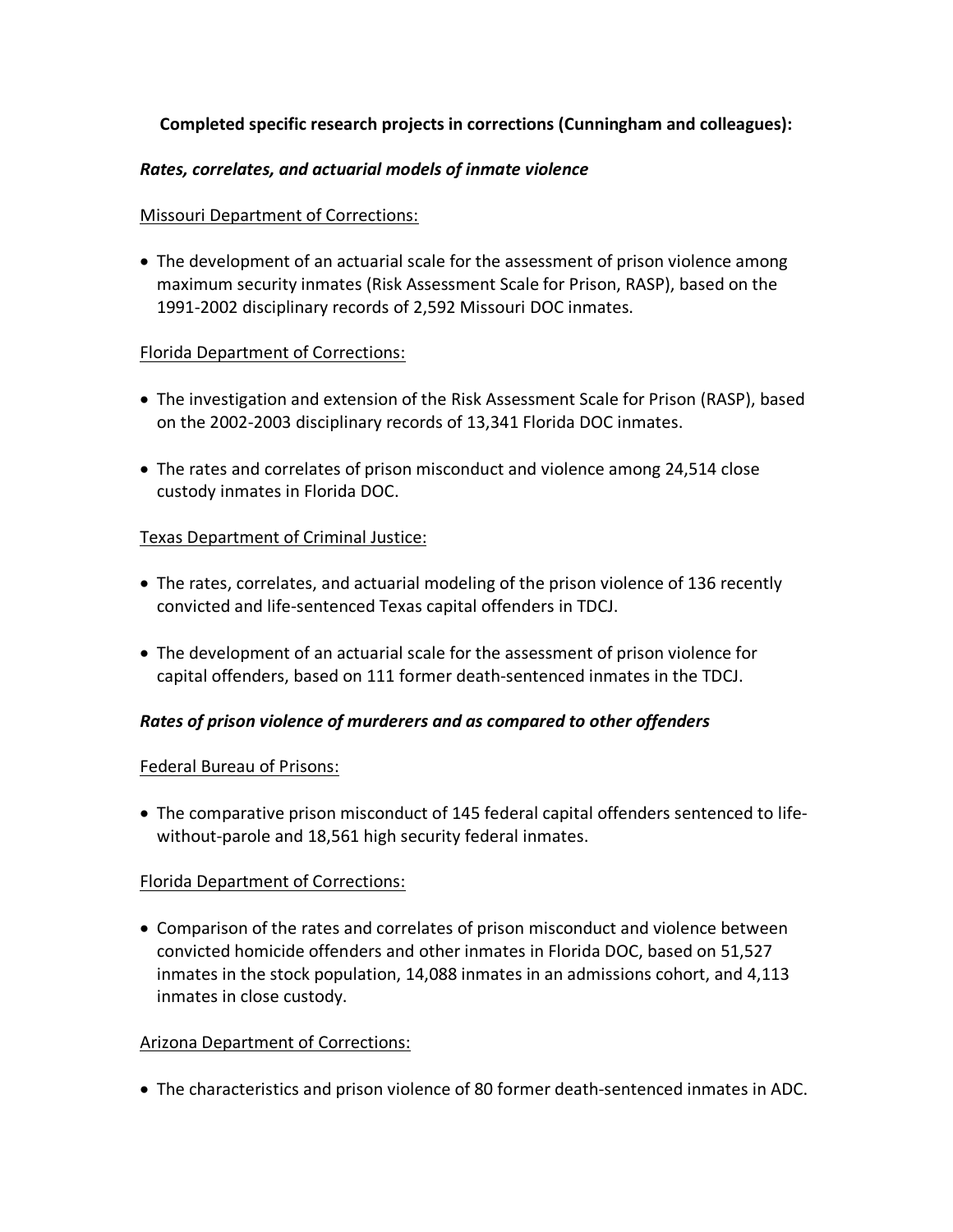## **Completed specific research projects in corrections (Cunningham and colleagues):**

### *Rates, correlates, and actuarial models of inmate violence*

### Missouri Department of Corrections:

• The development of an actuarial scale for the assessment of prison violence among maximum security inmates (Risk Assessment Scale for Prison, RASP), based on the 1991-2002 disciplinary records of 2,592 Missouri DOC inmates.

### Florida Department of Corrections:

- The investigation and extension of the Risk Assessment Scale for Prison (RASP), based on the 2002-2003 disciplinary records of 13,341 Florida DOC inmates.
- The rates and correlates of prison misconduct and violence among 24,514 close custody inmates in Florida DOC.

### Texas Department of Criminal Justice:

- The rates, correlates, and actuarial modeling of the prison violence of 136 recently convicted and life-sentenced Texas capital offenders in TDCJ.
- The development of an actuarial scale for the assessment of prison violence for capital offenders, based on 111 former death-sentenced inmates in the TDCJ.

#### *Rates of prison violence of murderers and as compared to other offenders*

#### Federal Bureau of Prisons:

• The comparative prison misconduct of 145 federal capital offenders sentenced to lifewithout-parole and 18,561 high security federal inmates.

## Florida Department of Corrections:

• Comparison of the rates and correlates of prison misconduct and violence between convicted homicide offenders and other inmates in Florida DOC, based on 51,527 inmates in the stock population, 14,088 inmates in an admissions cohort, and 4,113 inmates in close custody.

#### Arizona Department of Corrections:

• The characteristics and prison violence of 80 former death-sentenced inmates in ADC.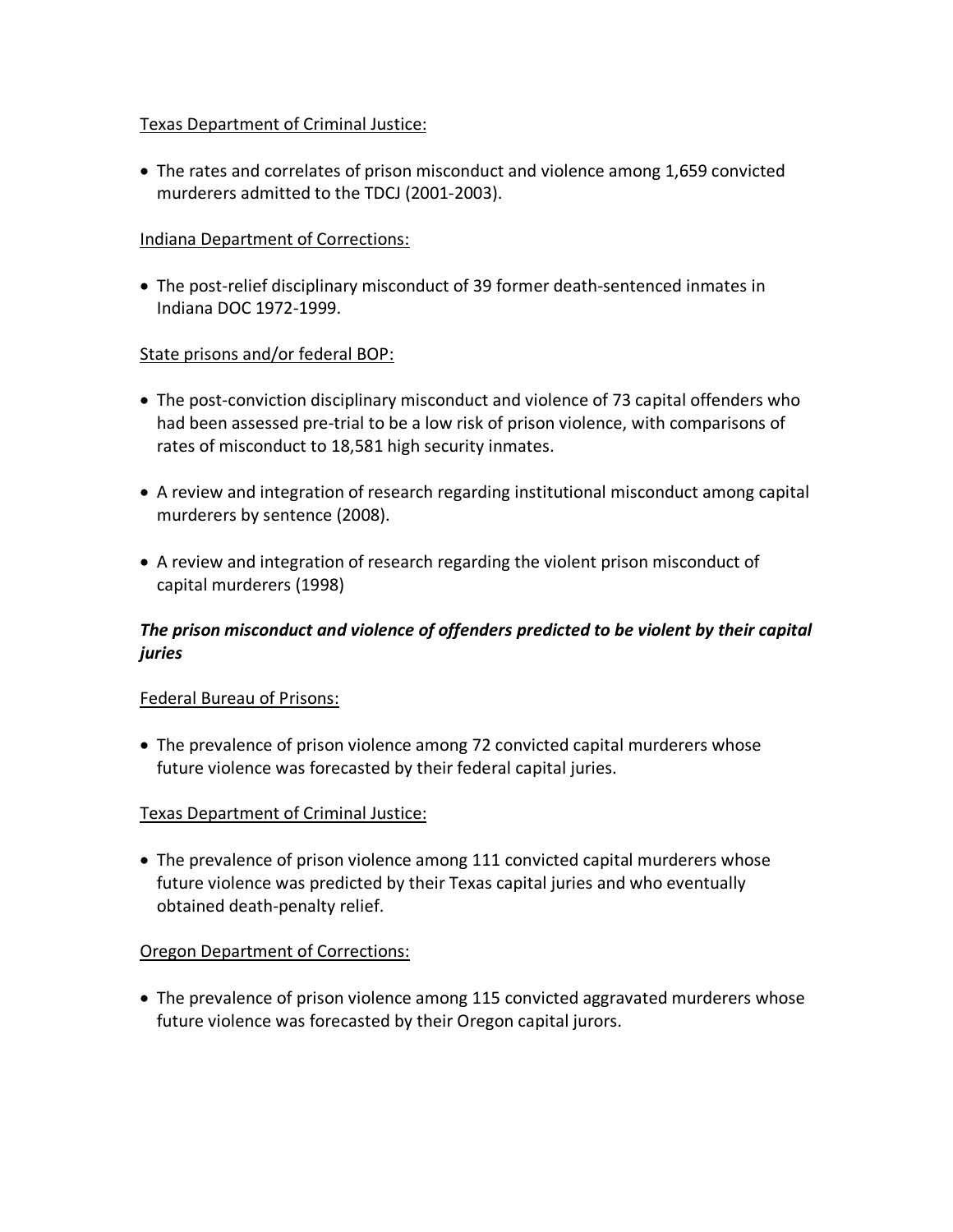## Texas Department of Criminal Justice:

• The rates and correlates of prison misconduct and violence among 1,659 convicted murderers admitted to the TDCJ (2001-2003).

## Indiana Department of Corrections:

• The post-relief disciplinary misconduct of 39 former death-sentenced inmates in Indiana DOC 1972-1999.

## State prisons and/or federal BOP:

- The post-conviction disciplinary misconduct and violence of 73 capital offenders who had been assessed pre-trial to be a low risk of prison violence, with comparisons of rates of misconduct to 18,581 high security inmates.
- A review and integration of research regarding institutional misconduct among capital murderers by sentence (2008).
- A review and integration of research regarding the violent prison misconduct of capital murderers (1998)

# *The prison misconduct and violence of offenders predicted to be violent by their capital juries*

## Federal Bureau of Prisons:

• The prevalence of prison violence among 72 convicted capital murderers whose future violence was forecasted by their federal capital juries.

## Texas Department of Criminal Justice:

• The prevalence of prison violence among 111 convicted capital murderers whose future violence was predicted by their Texas capital juries and who eventually obtained death-penalty relief.

## Oregon Department of Corrections:

• The prevalence of prison violence among 115 convicted aggravated murderers whose future violence was forecasted by their Oregon capital jurors.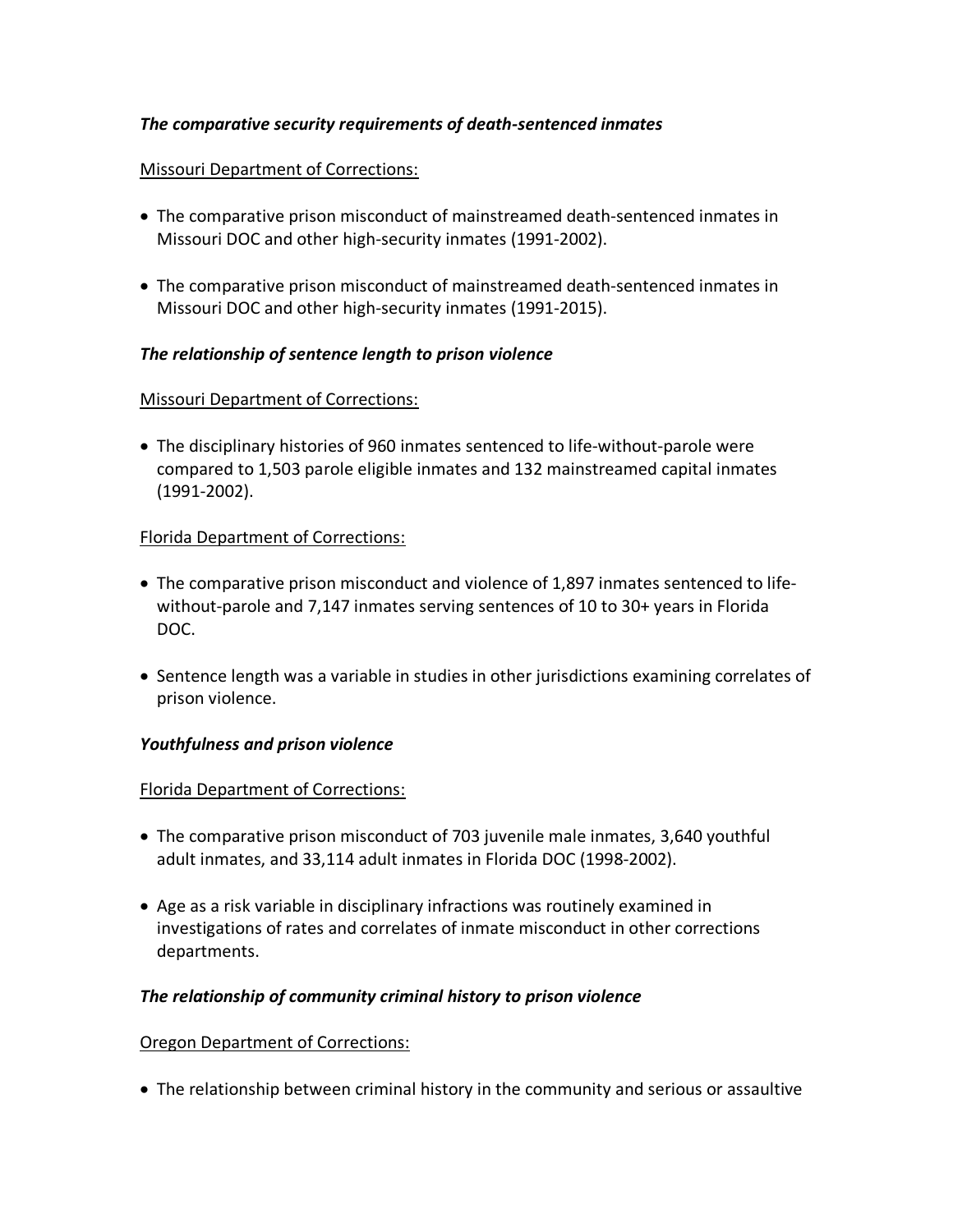### *The comparative security requirements of death-sentenced inmates*

#### Missouri Department of Corrections:

- The comparative prison misconduct of mainstreamed death-sentenced inmates in Missouri DOC and other high-security inmates (1991-2002).
- The comparative prison misconduct of mainstreamed death-sentenced inmates in Missouri DOC and other high-security inmates (1991-2015).

#### *The relationship of sentence length to prison violence*

#### Missouri Department of Corrections:

• The disciplinary histories of 960 inmates sentenced to life-without-parole were compared to 1,503 parole eligible inmates and 132 mainstreamed capital inmates (1991-2002).

#### Florida Department of Corrections:

- The comparative prison misconduct and violence of 1,897 inmates sentenced to lifewithout-parole and 7,147 inmates serving sentences of 10 to 30+ years in Florida DOC.
- Sentence length was a variable in studies in other jurisdictions examining correlates of prison violence.

#### *Youthfulness and prison violence*

#### Florida Department of Corrections:

- The comparative prison misconduct of 703 juvenile male inmates, 3,640 youthful adult inmates, and 33,114 adult inmates in Florida DOC (1998-2002).
- Age as a risk variable in disciplinary infractions was routinely examined in investigations of rates and correlates of inmate misconduct in other corrections departments.

#### *The relationship of community criminal history to prison violence*

#### Oregon Department of Corrections:

• The relationship between criminal history in the community and serious or assaultive